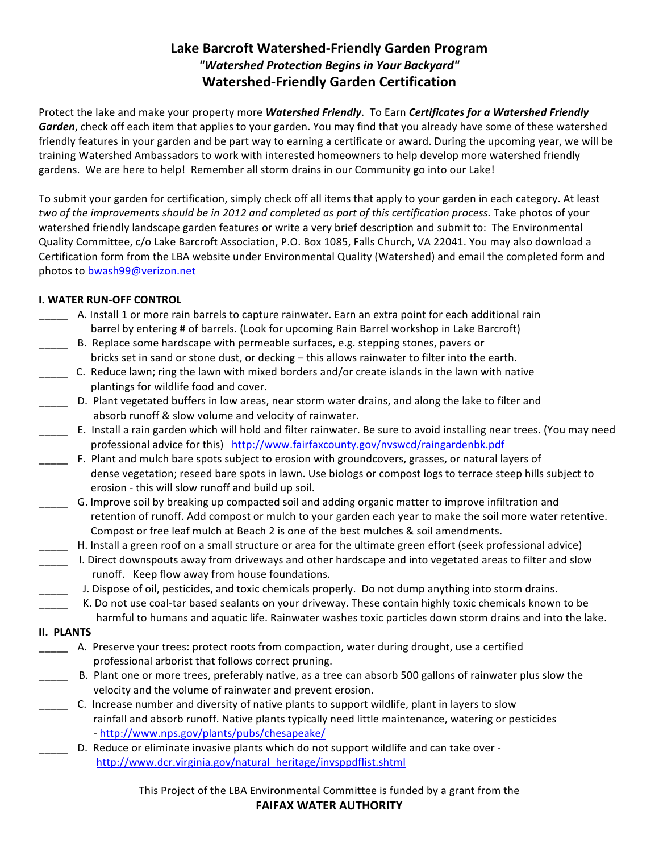# **Lake Barcroft Watershed-Friendly Garden Program** *"Watershed Protection Begins in Your Backyard"* **Watershed-Friendly Garden Certification**

Protect the lake and make your property more *Watershed Friendly*. To Earn *Certificates for a Watershed Friendly* **Garden**, check off each item that applies to your garden. You may find that you already have some of these watershed friendly features in your garden and be part way to earning a certificate or award. During the upcoming year, we will be training Watershed Ambassadors to work with interested homeowners to help develop more watershed friendly gardens. We are here to help! Remember all storm drains in our Community go into our Lake!

To submit your garden for certification, simply check off all items that apply to your garden in each category. At least *two* of the *improvements should be in 2012 and completed as part of this certification process. Take photos of your* watershed friendly landscape garden features or write a very brief description and submit to: The Environmental Quality Committee, c/o Lake Barcroft Association, P.O. Box 1085, Falls Church, VA 22041. You may also download a Certification form from the LBA website under Environmental Quality (Watershed) and email the completed form and photos to bwash99@verizon.net

## **I. WATER RUN-OFF CONTROL**

- \_\_\_\_\_ A. Install 1 or more rain barrels to capture rainwater. Earn an extra point for each additional rain barrel by entering # of barrels. (Look for upcoming Rain Barrel workshop in Lake Barcroft)
- \_\_\_\_ B. Replace some hardscape with permeable surfaces, e.g. stepping stones, pavers or bricks set in sand or stone dust, or decking - this allows rainwater to filter into the earth.
- \_\_\_\_\_ C. Reduce lawn; ring the lawn with mixed borders and/or create islands in the lawn with native plantings for wildlife food and cover.
- \_\_\_\_ D. Plant vegetated buffers in low areas, near storm water drains, and along the lake to filter and absorb runoff & slow volume and velocity of rainwater.
- \_\_\_\_ E. Install a rain garden which will hold and filter rainwater. Be sure to avoid installing near trees. (You may need professional advice for this) http://www.fairfaxcounty.gov/nvswcd/raingardenbk.pdf
- F. Plant and mulch bare spots subject to erosion with groundcovers, grasses, or natural layers of dense vegetation; reseed bare spots in lawn. Use biologs or compost logs to terrace steep hills subject to erosion - this will slow runoff and build up soil.
- \_\_\_\_\_ G. Improve soil by breaking up compacted soil and adding organic matter to improve infiltration and retention of runoff. Add compost or mulch to your garden each year to make the soil more water retentive. Compost or free leaf mulch at Beach 2 is one of the best mulches & soil amendments.
	- \_\_\_\_\_ H. Install a green roof on a small structure or area for the ultimate green effort (seek professional advice)
- \_\_\_\_ I. Direct downspouts away from driveways and other hardscape and into vegetated areas to filter and slow runoff. Keep flow away from house foundations.
- J. Dispose of oil, pesticides, and toxic chemicals properly. Do not dump anything into storm drains.
- K. Do not use coal-tar based sealants on your driveway. These contain highly toxic chemicals known to be harmful to humans and aquatic life. Rainwater washes toxic particles down storm drains and into the lake.
- **II. PLANTS**
	- \_\_\_\_\_ A. Preserve your trees: protect roots from compaction, water during drought, use a certified professional arborist that follows correct pruning.
- \_\_\_\_\_ B. Plant one or more trees, preferably native, as a tree can absorb 500 gallons of rainwater plus slow the velocity and the volume of rainwater and prevent erosion.
- C. Increase number and diversity of native plants to support wildlife, plant in layers to slow rainfall and absorb runoff. Native plants typically need little maintenance, watering or pesticides - http://www.nps.gov/plants/pubs/chesapeake/
	- D. Reduce or eliminate invasive plants which do not support wildlife and can take over - http://www.dcr.virginia.gov/natural\_heritage/invsppdflist.shtml

This Project of the LBA Environmental Committee is funded by a grant from the **FAIFAX WATER AUTHORITY**